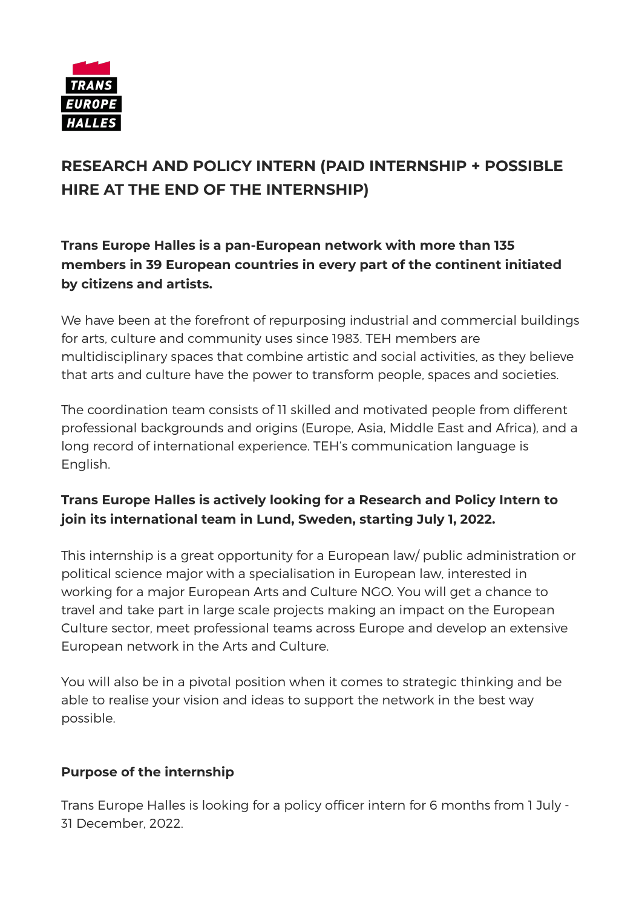

# **RESEARCH AND POLICY INTERN (PAID INTERNSHIP + POSSIBLE HIRE AT THE END OF THE INTERNSHIP)**

**Trans Europe Halles is a pan-European network with more than 135 members in 39 European countries in every part of the continent initiated by citizens and artists.**

We have been at the forefront of repurposing industrial and commercial buildings for arts, culture and community uses since 1983. TEH members are multidisciplinary spaces that combine artistic and social activities, as they believe that arts and culture have the power to transform people, spaces and societies.

The coordination team consists of 11 skilled and motivated people from different professional backgrounds and origins (Europe, Asia, Middle East and Africa), and a long record of international experience. TEH's communication language is English.

# **Trans Europe Halles is actively looking for a Research and Policy Intern to join its international team in Lund, Sweden, starting July 1, 2022.**

This internship is a great opportunity for a European law/ public administration or political science major with a specialisation in European law, interested in working for a major European Arts and Culture NGO. You will get a chance to travel and take part in large scale projects making an impact on the European Culture sector, meet professional teams across Europe and develop an extensive European network in the Arts and Culture.

You will also be in a pivotal position when it comes to strategic thinking and be able to realise your vision and ideas to support the network in the best way possible.

#### **Purpose of the internship**

Trans Europe Halles is looking for a policy officer intern for 6 months from 1 July - 31 December, 2022.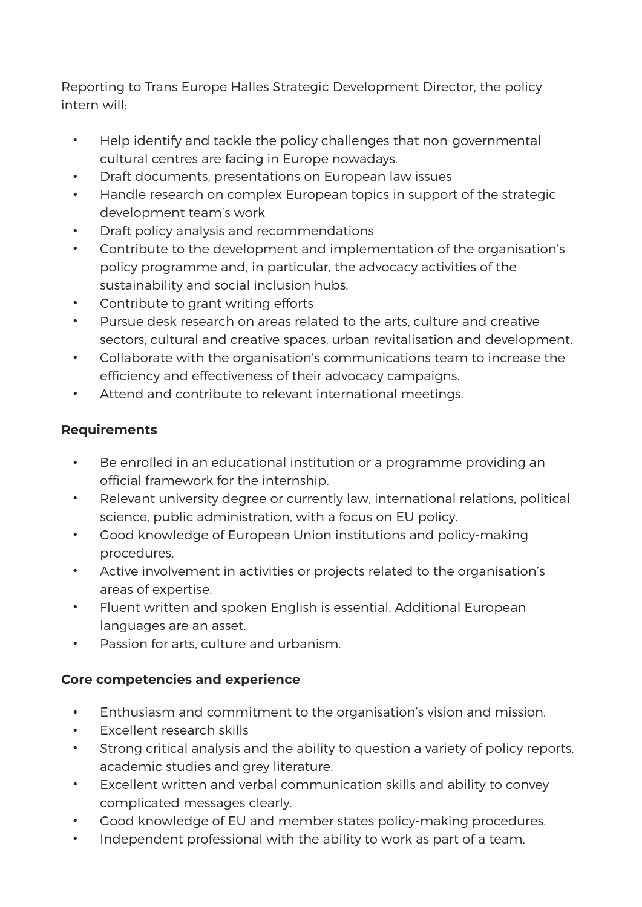Reporting to Trans Europe Halles Strategic Development Director, the policy intern will:

- Help identify and tackle the policy challenges that non-governmental cultural centres are facing in Europe nowadays.
- Draft documents, presentations on European law issues
- Handle research on complex European topics in support of the strategic development team's work
- Draft policy analysis and recommendations
- Contribute to the development and implementation of the organisation's policy programme and, in particular, the advocacy activities of the sustainability and social inclusion hubs.
- Contribute to grant writing efforts
- Pursue desk research on areas related to the arts, culture and creative sectors, cultural and creative spaces, urban revitalisation and development.
- Collaborate with the organisation's communications team to increase the efficiency and effectiveness of their advocacy campaigns.
- Attend and contribute to relevant international meetings.

#### **Requirements**

- Be enrolled in an educational institution or a programme providing an official framework for the internship.
- Relevant university degree or currently law, international relations, political science, public administration, with a focus on EU policy.
- Good knowledge of European Union institutions and policy-making procedures.
- Active involvement in activities or projects related to the organisation's areas of expertise.
- Fluent written and spoken English is essential. Additional European languages are an asset.
- Passion for arts, culture and urbanism.

#### **Core competencies and experience**

- Enthusiasm and commitment to the organisation's vision and mission.
- Excellent research skills
- Strong critical analysis and the ability to question a variety of policy reports, academic studies and grey literature.
- Excellent written and verbal communication skills and ability to convey complicated messages clearly.
- Good knowledge of EU and member states policy-making procedures.
- Independent professional with the ability to work as part of a team.